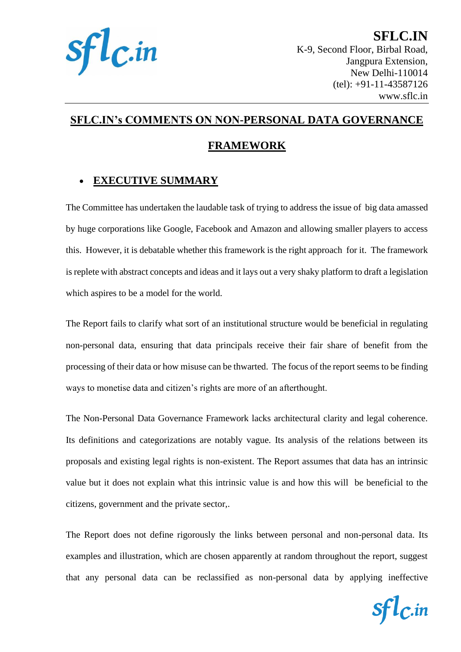

**SFLC.IN** K-9, Second Floor, Birbal Road, Jangpura Extension, New Delhi-110014 (tel): +91-11-43587126 www.sflc.in

# **SFLC.IN's COMMENTS ON NON-PERSONAL DATA GOVERNANCE**

# **FRAMEWORK**

# • **EXECUTIVE SUMMARY**

The Committee has undertaken the laudable task of trying to address the issue of big data amassed by huge corporations like Google, Facebook and Amazon and allowing smaller players to access this. However, it is debatable whether this framework is the right approach for it. The framework is replete with abstract concepts and ideas and it lays out a very shaky platform to draft a legislation which aspires to be a model for the world.

The Report fails to clarify what sort of an institutional structure would be beneficial in regulating non-personal data, ensuring that data principals receive their fair share of benefit from the processing of their data or how misuse can be thwarted. The focus of the report seems to be finding ways to monetise data and citizen's rights are more of an afterthought.

The Non-Personal Data Governance Framework lacks architectural clarity and legal coherence. Its definitions and categorizations are notably vague. Its analysis of the relations between its proposals and existing legal rights is non-existent. The Report assumes that data has an intrinsic value but it does not explain what this intrinsic value is and how this will be beneficial to the citizens, government and the private sector,.

The Report does not define rigorously the links between personal and non-personal data. Its examples and illustration, which are chosen apparently at random throughout the report, suggest that any personal data can be reclassified as non-personal data by applying ineffective

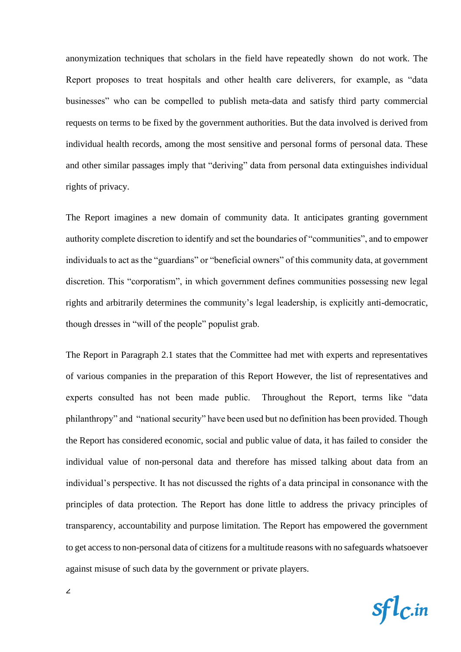anonymization techniques that scholars in the field have repeatedly shown do not work. The Report proposes to treat hospitals and other health care deliverers, for example, as "data businesses" who can be compelled to publish meta-data and satisfy third party commercial requests on terms to be fixed by the government authorities. But the data involved is derived from individual health records, among the most sensitive and personal forms of personal data. These and other similar passages imply that "deriving" data from personal data extinguishes individual rights of privacy.

The Report imagines a new domain of community data. It anticipates granting government authority complete discretion to identify and set the boundaries of "communities", and to empower individuals to act as the "guardians" or "beneficial owners" of this community data, at government discretion. This "corporatism", in which government defines communities possessing new legal rights and arbitrarily determines the community's legal leadership, is explicitly anti-democratic, though dresses in "will of the people" populist grab.

The Report in Paragraph 2.1 states that the Committee had met with experts and representatives of various companies in the preparation of this Report However, the list of representatives and experts consulted has not been made public. Throughout the Report, terms like "data philanthropy" and "national security" have been used but no definition has been provided. Though the Report has considered economic, social and public value of data, it has failed to consider the individual value of non-personal data and therefore has missed talking about data from an individual's perspective. It has not discussed the rights of a data principal in consonance with the principles of data protection. The Report has done little to address the privacy principles of transparency, accountability and purpose limitation. The Report has empowered the government to get access to non-personal data of citizens for a multitude reasons with no safeguards whatsoever against misuse of such data by the government or private players.

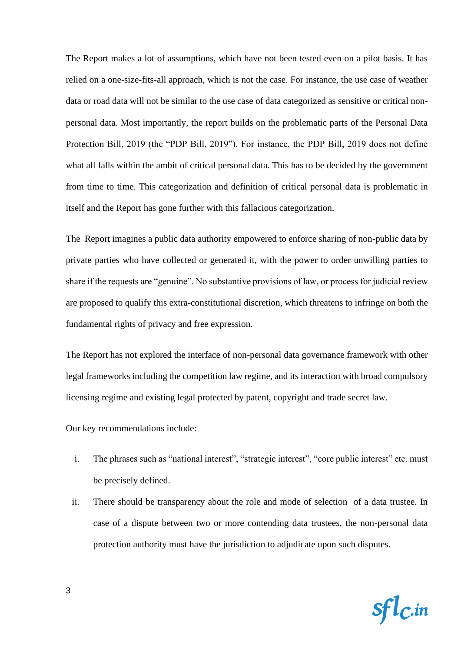The Report makes a lot of assumptions, which have not been tested even on a pilot basis. It has relied on a one-size-fits-all approach, which is not the case. For instance, the use case of weather data or road data will not be similar to the use case of data categorized as sensitive or critical nonpersonal data. Most importantly, the report builds on the problematic parts of the Personal Data Protection Bill, 2019 (the "PDP Bill, 2019"). For instance, the PDP Bill, 2019 does not define what all falls within the ambit of critical personal data. This has to be decided by the government from time to time. This categorization and definition of critical personal data is problematic in itself and the Report has gone further with this fallacious categorization.

The Report imagines a public data authority empowered to enforce sharing of non-public data by private parties who have collected or generated it, with the power to order unwilling parties to share if the requests are "genuine". No substantive provisions of law, or process for judicial review are proposed to qualify this extra-constitutional discretion, which threatens to infringe on both the fundamental rights of privacy and free expression.

The Report has not explored the interface of non-personal data governance framework with other legal frameworks including the competition law regime, and its interaction with broad compulsory licensing regime and existing legal protected by patent, copyright and trade secret law.

Our key recommendations include:

- i. The phrases such as "national interest", "strategic interest", "core public interest" etc. must be precisely defined.
- ii. There should be transparency about the role and mode of selection of a data trustee. In case of a dispute between two or more contending data trustees, the non-personal data protection authority must have the jurisdiction to adjudicate upon such disputes.

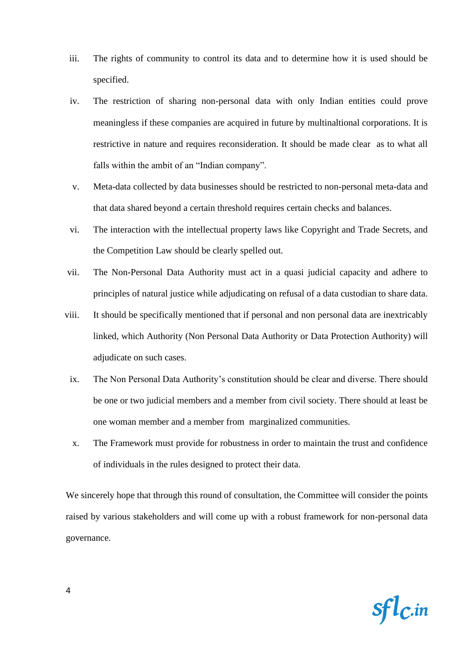- iii. The rights of community to control its data and to determine how it is used should be specified.
- iv. The restriction of sharing non-personal data with only Indian entities could prove meaningless if these companies are acquired in future by multinaltional corporations. It is restrictive in nature and requires reconsideration. It should be made clear as to what all falls within the ambit of an "Indian company".
- v. Meta-data collected by data businesses should be restricted to non-personal meta-data and that data shared beyond a certain threshold requires certain checks and balances.
- vi. The interaction with the intellectual property laws like Copyright and Trade Secrets, and the Competition Law should be clearly spelled out.
- vii. The Non-Personal Data Authority must act in a quasi judicial capacity and adhere to principles of natural justice while adjudicating on refusal of a data custodian to share data.
- viii. It should be specifically mentioned that if personal and non personal data are inextricably linked, which Authority (Non Personal Data Authority or Data Protection Authority) will adjudicate on such cases.
	- ix. The Non Personal Data Authority's constitution should be clear and diverse. There should be one or two judicial members and a member from civil society. There should at least be one woman member and a member from marginalized communities.
	- x. The Framework must provide for robustness in order to maintain the trust and confidence of individuals in the rules designed to protect their data.

We sincerely hope that through this round of consultation, the Committee will consider the points raised by various stakeholders and will come up with a robust framework for non-personal data governance.

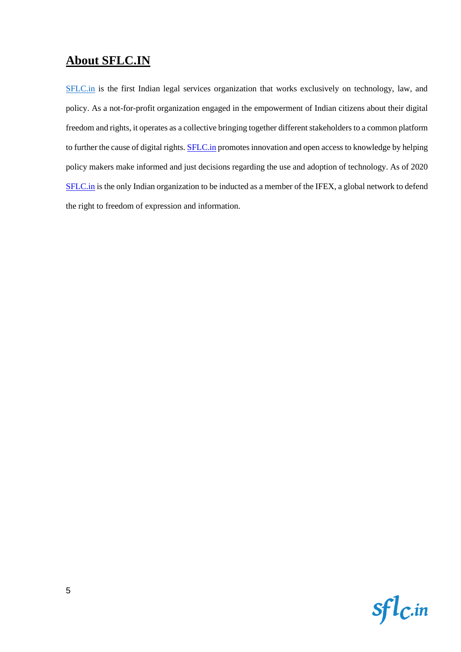# **About SFLC.IN**

[SFLC.in](http://sflc.in/) is the first Indian legal services organization that works exclusively on technology, law, and policy. As a not-for-profit organization engaged in the empowerment of Indian citizens about their digital freedom and rights, it operates as a collective bringing together different stakeholders to a common platform to further the cause of digital rights. **SFLC.in** promotes innovation and open access to knowledge by helping policy makers make informed and just decisions regarding the use and adoption of technology. As of 2020 [SFLC.in](http://sflc.in/) is the only Indian organization to be inducted as a member of the IFEX, a global network to defend the right to freedom of expression and information.

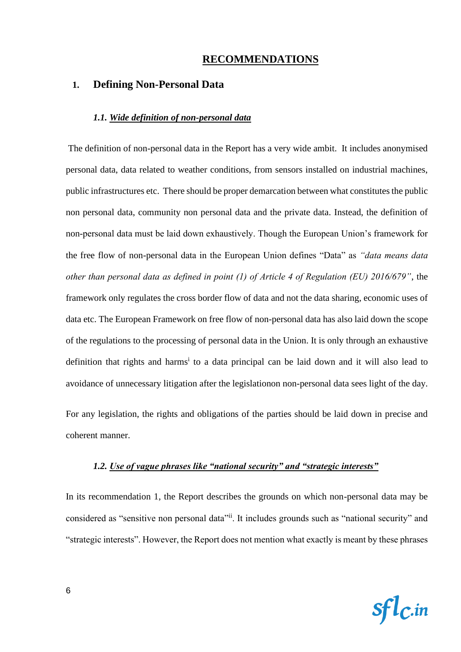# **RECOMMENDATIONS**

#### **1. Defining Non-Personal Data**

#### *1.1. Wide definition of non-personal data*

The definition of non-personal data in the Report has a very wide ambit. It includes anonymised personal data, data related to weather conditions, from sensors installed on industrial machines, public infrastructures etc. There should be proper demarcation between what constitutes the public non personal data, community non personal data and the private data. Instead, the definition of non-personal data must be laid down exhaustively. Though the European Union's framework for the free flow of non-personal data in the European Union defines "Data" as *"data means data other than personal data as defined in point (1) of Article 4 of Regulation (EU) 2016/679"*, the framework only regulates the cross border flow of data and not the data sharing, economic uses of data etc. The European Framework on free flow of non-personal data has also laid down the scope of the regulations to the processing of personal data in the Union. It is only through an exhaustive definition that rights and harms<sup>i</sup> to a data principal can be laid down and it will also lead to avoidance of unnecessary litigation after the legislationon non-personal data sees light of the day. For any legislation, the rights and obligations of the parties should be laid down in precise and

coherent manner.

#### *1.2. Use of vague phrases like "national security" and "strategic interests"*

In its recommendation 1, the Report describes the grounds on which non-personal data may be considered as "sensitive non personal data"<sup>ii</sup>. It includes grounds such as "national security" and "strategic interests". However, the Report does not mention what exactly is meant by these phrases

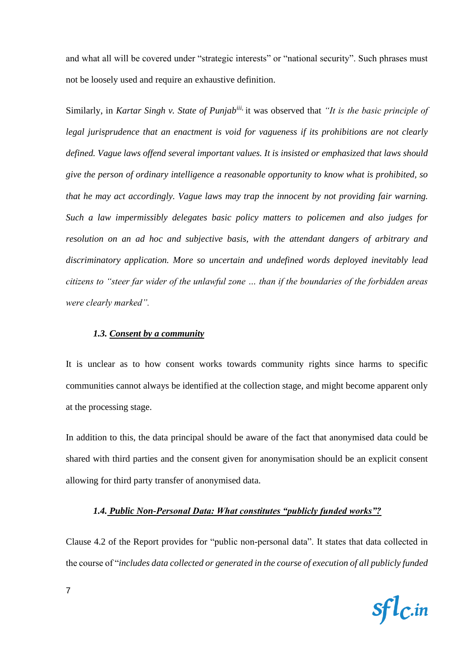and what all will be covered under "strategic interests" or "national security". Such phrases must not be loosely used and require an exhaustive definition.

Similarly, in *Kartar Singh v. State of Punjabiii,* it was observed that *"It is the basic principle of legal jurisprudence that an enactment is void for vagueness if its prohibitions are not clearly defined. Vague laws offend several important values. It is insisted or emphasized that laws should give the person of ordinary intelligence a reasonable opportunity to know what is prohibited, so that he may act accordingly. Vague laws may trap the innocent by not providing fair warning. Such a law impermissibly delegates basic policy matters to policemen and also judges for resolution on an ad hoc and subjective basis, with the attendant dangers of arbitrary and discriminatory application. More so uncertain and undefined words deployed inevitably lead citizens to "steer far wider of the unlawful zone … than if the boundaries of the forbidden areas were clearly marked".*

#### *1.3. Consent by a community*

It is unclear as to how consent works towards community rights since harms to specific communities cannot always be identified at the collection stage, and might become apparent only at the processing stage.

In addition to this, the data principal should be aware of the fact that anonymised data could be shared with third parties and the consent given for anonymisation should be an explicit consent allowing for third party transfer of anonymised data.

#### *1.4. Public Non-Personal Data: What constitutes "publicly funded works"?*

Clause 4.2 of the Report provides for "public non-personal data". It states that data collected in the course of "*includes data collected or generated in the course of execution of all publicly funded* 

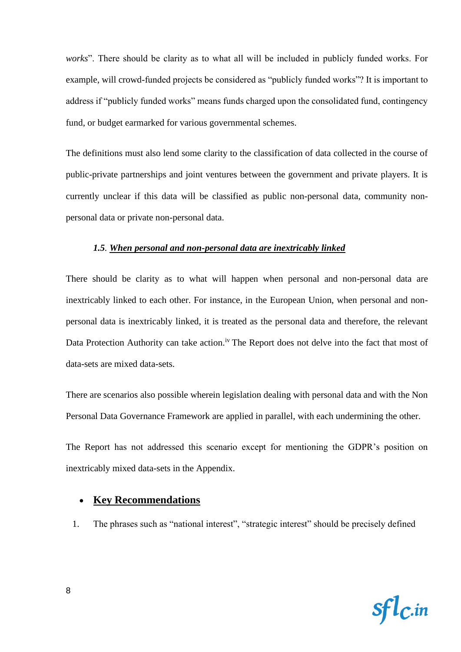*works*". There should be clarity as to what all will be included in publicly funded works. For example, will crowd-funded projects be considered as "publicly funded works"? It is important to address if "publicly funded works" means funds charged upon the consolidated fund, contingency fund, or budget earmarked for various governmental schemes.

The definitions must also lend some clarity to the classification of data collected in the course of public-private partnerships and joint ventures between the government and private players. It is currently unclear if this data will be classified as public non-personal data, community nonpersonal data or private non-personal data.

#### *1.5. When personal and non-personal data are inextricably linked*

There should be clarity as to what will happen when personal and non-personal data are inextricably linked to each other. For instance, in the European Union, when personal and nonpersonal data is inextricably linked, it is treated as the personal data and therefore, the relevant Data Protection Authority can take action.<sup>iv</sup> The Report does not delve into the fact that most of data-sets are mixed data-sets.

There are scenarios also possible wherein legislation dealing with personal data and with the Non Personal Data Governance Framework are applied in parallel, with each undermining the other.

The Report has not addressed this scenario except for mentioning the GDPR's position on inextricably mixed data-sets in the Appendix.

#### • **Key Recommendations**

1. The phrases such as "national interest", "strategic interest" should be precisely defined

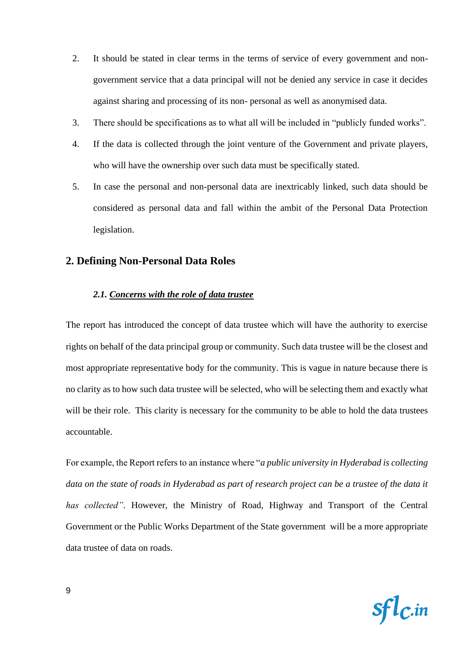- 2. It should be stated in clear terms in the terms of service of every government and nongovernment service that a data principal will not be denied any service in case it decides against sharing and processing of its non- personal as well as anonymised data.
- 3. There should be specifications as to what all will be included in "publicly funded works".
- 4. If the data is collected through the joint venture of the Government and private players, who will have the ownership over such data must be specifically stated.
- 5. In case the personal and non-personal data are inextricably linked, such data should be considered as personal data and fall within the ambit of the Personal Data Protection legislation.

#### **2. Defining Non-Personal Data Roles**

#### *2.1. Concerns with the role of data trustee*

The report has introduced the concept of data trustee which will have the authority to exercise rights on behalf of the data principal group or community. Such data trustee will be the closest and most appropriate representative body for the community. This is vague in nature because there is no clarity as to how such data trustee will be selected, who will be selecting them and exactly what will be their role. This clarity is necessary for the community to be able to hold the data trustees accountable.

For example, the Report refers to an instance where "*a public university in Hyderabad is collecting data on the state of roads in Hyderabad as part of research project can be a trustee of the data it has collected"*. However, the Ministry of Road, Highway and Transport of the Central Government or the Public Works Department of the State government will be a more appropriate data trustee of data on roads.

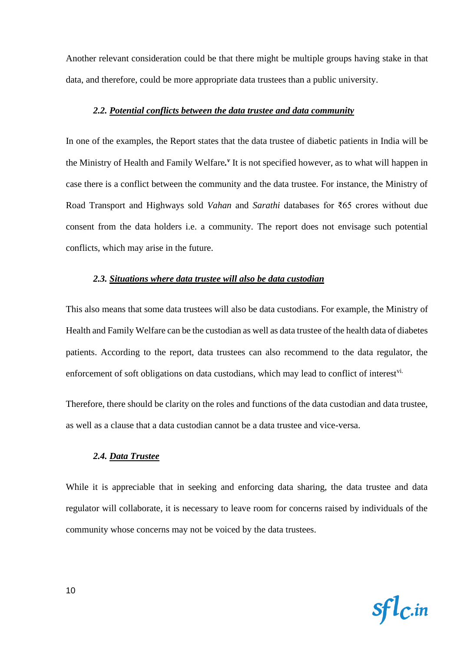Another relevant consideration could be that there might be multiple groups having stake in that data, and therefore, could be more appropriate data trustees than a public university.

#### *2.2. Potential conflicts between the data trustee and data community*

In one of the examples, the Report states that the data trustee of diabetic patients in India will be the Ministry of Health and Family Welfare.<sup>*v*</sup> It is not specified however, as to what will happen in case there is a conflict between the community and the data trustee. For instance, the Ministry of Road Transport and Highways sold *Vahan* and *Sarathi* databases for ₹65 crores without due consent from the data holders i.e. a community. The report does not envisage such potential conflicts, which may arise in the future.

#### *2.3. Situations where data trustee will also be data custodian*

This also means that some data trustees will also be data custodians. For example, the Ministry of Health and Family Welfare can be the custodian as well as data trustee of the health data of diabetes patients. According to the report, data trustees can also recommend to the data regulator, the enforcement of soft obligations on data custodians, which may lead to conflict of interest<sup>vi.</sup>

Therefore, there should be clarity on the roles and functions of the data custodian and data trustee, as well as a clause that a data custodian cannot be a data trustee and vice-versa.

#### *2.4. Data Trustee*

While it is appreciable that in seeking and enforcing data sharing, the data trustee and data regulator will collaborate, it is necessary to leave room for concerns raised by individuals of the community whose concerns may not be voiced by the data trustees.

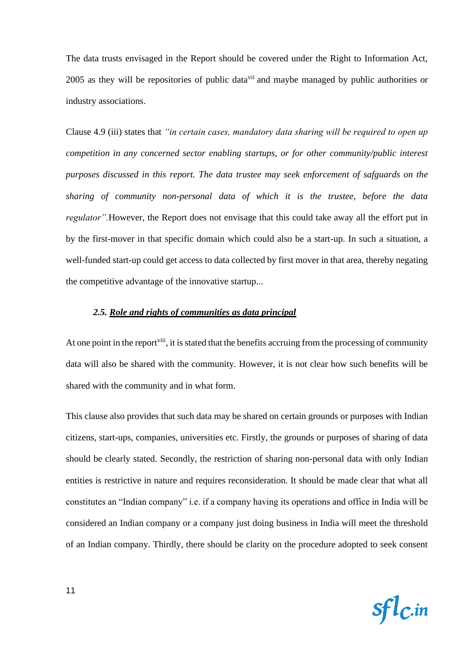The data trusts envisaged in the Report should be covered under the Right to Information Act, 2005 as they will be repositories of public data<sup>vii</sup> and maybe managed by public authorities or industry associations.

Clause 4.9 (iii) states that *"in certain cases, mandatory data sharing will be required to open up competition in any concerned sector enabling startups, or for other community/public interest purposes discussed in this report. The data trustee may seek enforcement of safguards on the sharing of community non-personal data of which it is the trustee, before the data regulator".*However, the Report does not envisage that this could take away all the effort put in by the first-mover in that specific domain which could also be a start-up. In such a situation, a well-funded start-up could get access to data collected by first mover in that area, thereby negating the competitive advantage of the innovative startup...

#### *2.5. Role and rights of communities as data principal*

At one point in the report<sup>viii</sup>, it is stated that the benefits accruing from the processing of community data will also be shared with the community. However, it is not clear how such benefits will be shared with the community and in what form.

This clause also provides that such data may be shared on certain grounds or purposes with Indian citizens, start-ups, companies, universities etc. Firstly, the grounds or purposes of sharing of data should be clearly stated. Secondly, the restriction of sharing non-personal data with only Indian entities is restrictive in nature and requires reconsideration. It should be made clear that what all constitutes an "Indian company" i.e. if a company having its operations and office in India will be considered an Indian company or a company just doing business in India will meet the threshold of an Indian company. Thirdly, there should be clarity on the procedure adopted to seek consent

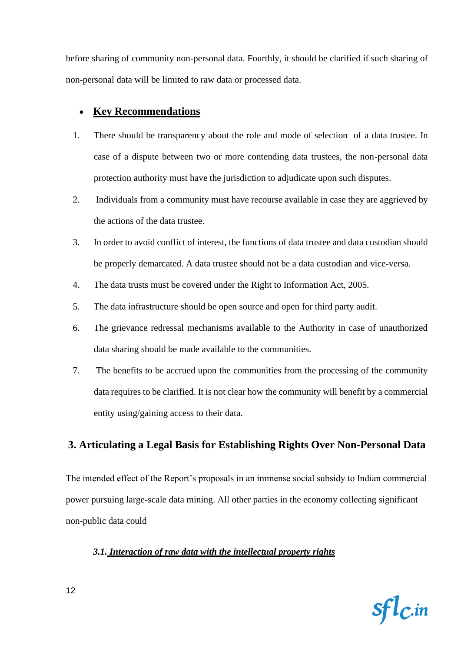before sharing of community non-personal data. Fourthly, it should be clarified if such sharing of non-personal data will be limited to raw data or processed data.

# • **Key Recommendations**

- 1. There should be transparency about the role and mode of selection of a data trustee. In case of a dispute between two or more contending data trustees, the non-personal data protection authority must have the jurisdiction to adjudicate upon such disputes.
- 2. Individuals from a community must have recourse available in case they are aggrieved by the actions of the data trustee.
- 3. In order to avoid conflict of interest, the functions of data trustee and data custodian should be properly demarcated. A data trustee should not be a data custodian and vice-versa.
- 4. The data trusts must be covered under the Right to Information Act, 2005.
- 5. The data infrastructure should be open source and open for third party audit.
- 6. The grievance redressal mechanisms available to the Authority in case of unauthorized data sharing should be made available to the communities.
- 7. The benefits to be accrued upon the communities from the processing of the community data requires to be clarified. It is not clear how the community will benefit by a commercial entity using/gaining access to their data.

# **3. Articulating a Legal Basis for Establishing Rights Over Non-Personal Data**

The intended effect of the Report's proposals in an immense social subsidy to Indian commercial power pursuing large-scale data mining. All other parties in the economy collecting significant non-public data could

#### *3.1. Interaction of raw data with the intellectual property rights*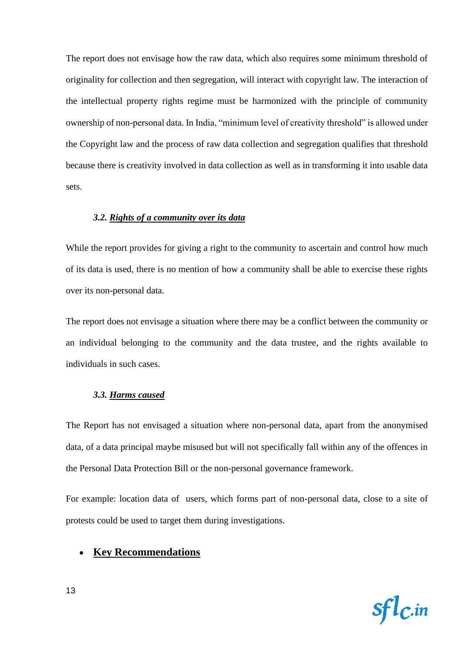The report does not envisage how the raw data, which also requires some minimum threshold of originality for collection and then segregation, will interact with copyright law. The interaction of the intellectual property rights regime must be harmonized with the principle of community ownership of non-personal data. In India, "minimum level of creativity threshold" is allowed under the Copyright law and the process of raw data collection and segregation qualifies that threshold because there is creativity involved in data collection as well as in transforming it into usable data sets.

#### *3.2. Rights of a community over its data*

While the report provides for giving a right to the community to ascertain and control how much of its data is used, there is no mention of how a community shall be able to exercise these rights over its non-personal data.

The report does not envisage a situation where there may be a conflict between the community or an individual belonging to the community and the data trustee, and the rights available to individuals in such cases.

#### *3.3. Harms caused*

The Report has not envisaged a situation where non-personal data, apart from the anonymised data, of a data principal maybe misused but will not specifically fall within any of the offences in the Personal Data Protection Bill or the non-personal governance framework.

For example: location data of users, which forms part of non-personal data, close to a site of protests could be used to target them during investigations.

# • **Key Recommendations**

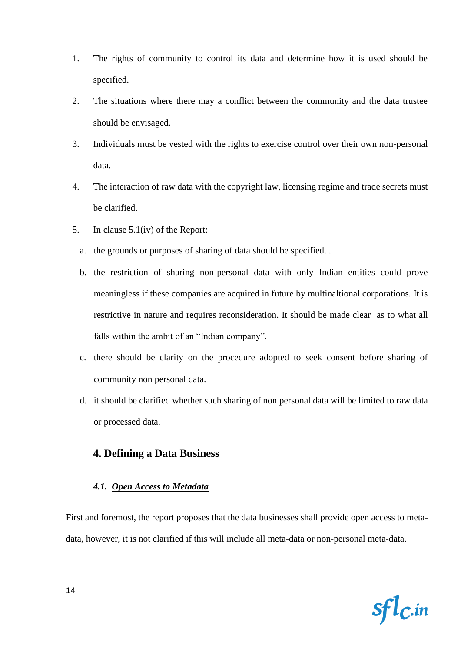- 1. The rights of community to control its data and determine how it is used should be specified.
- 2. The situations where there may a conflict between the community and the data trustee should be envisaged.
- 3. Individuals must be vested with the rights to exercise control over their own non-personal data.
- 4. The interaction of raw data with the copyright law, licensing regime and trade secrets must be clarified.
- 5. In clause 5.1(iv) of the Report:
	- a. the grounds or purposes of sharing of data should be specified. .
	- b. the restriction of sharing non-personal data with only Indian entities could prove meaningless if these companies are acquired in future by multinaltional corporations. It is restrictive in nature and requires reconsideration. It should be made clear as to what all falls within the ambit of an "Indian company".
	- c. there should be clarity on the procedure adopted to seek consent before sharing of community non personal data.
	- d. it should be clarified whether such sharing of non personal data will be limited to raw data or processed data.

#### **4. Defining a Data Business**

#### *4.1. Open Access to Metadata*

First and foremost, the report proposes that the data businesses shall provide open access to metadata, however, it is not clarified if this will include all meta-data or non-personal meta-data.

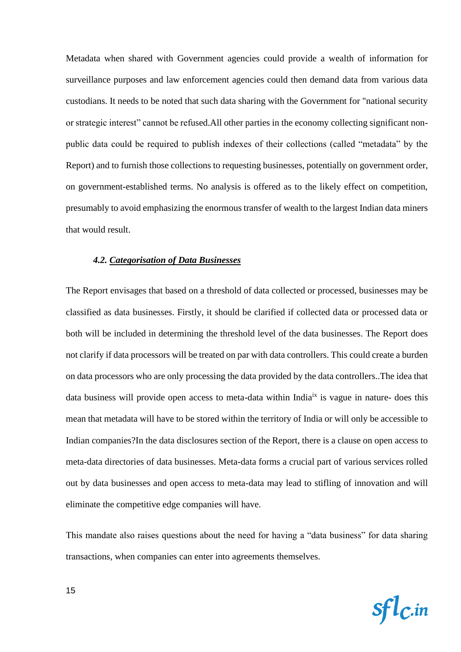Metadata when shared with Government agencies could provide a wealth of information for surveillance purposes and law enforcement agencies could then demand data from various data custodians. It needs to be noted that such data sharing with the Government for "national security or strategic interest" cannot be refused.All other parties in the economy collecting significant nonpublic data could be required to publish indexes of their collections (called "metadata" by the Report) and to furnish those collections to requesting businesses, potentially on government order, on government-established terms. No analysis is offered as to the likely effect on competition, presumably to avoid emphasizing the enormous transfer of wealth to the largest Indian data miners that would result.

#### *4.2. Categorisation of Data Businesses*

The Report envisages that based on a threshold of data collected or processed, businesses may be classified as data businesses. Firstly, it should be clarified if collected data or processed data or both will be included in determining the threshold level of the data businesses. The Report does not clarify if data processors will be treated on par with data controllers. This could create a burden on data processors who are only processing the data provided by the data controllers..The idea that data business will provide open access to meta-data within India<sup>ix</sup> is vague in nature- does this mean that metadata will have to be stored within the territory of India or will only be accessible to Indian companies?In the data disclosures section of the Report, there is a clause on open access to meta-data directories of data businesses. Meta-data forms a crucial part of various services rolled out by data businesses and open access to meta-data may lead to stifling of innovation and will eliminate the competitive edge companies will have.

This mandate also raises questions about the need for having a "data business" for data sharing transactions, when companies can enter into agreements themselves.

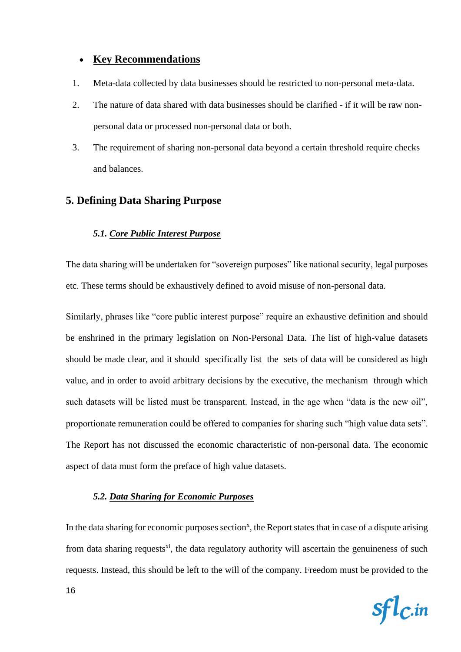# • **Key Recommendations**

- 1. Meta-data collected by data businesses should be restricted to non-personal meta-data.
- 2. The nature of data shared with data businesses should be clarified if it will be raw nonpersonal data or processed non-personal data or both.
- 3. The requirement of sharing non-personal data beyond a certain threshold require checks and balances.

# **5. Defining Data Sharing Purpose**

#### *5.1. Core Public Interest Purpose*

The data sharing will be undertaken for "sovereign purposes" like national security, legal purposes etc. These terms should be exhaustively defined to avoid misuse of non-personal data.

Similarly, phrases like "core public interest purpose" require an exhaustive definition and should be enshrined in the primary legislation on Non-Personal Data. The list of high-value datasets should be made clear, and it should specifically list the sets of data will be considered as high value, and in order to avoid arbitrary decisions by the executive, the mechanism through which such datasets will be listed must be transparent. Instead, in the age when "data is the new oil", proportionate remuneration could be offered to companies for sharing such "high value data sets". The Report has not discussed the economic characteristic of non-personal data. The economic aspect of data must form the preface of high value datasets.

#### *5.2. Data Sharing for Economic Purposes*

In the data sharing for economic purposes section<sup>x</sup>, the Report states that in case of a dispute arising from data sharing requests<sup>xi</sup>, the data regulatory authority will ascertain the genuineness of such requests. Instead, this should be left to the will of the company. Freedom must be provided to the

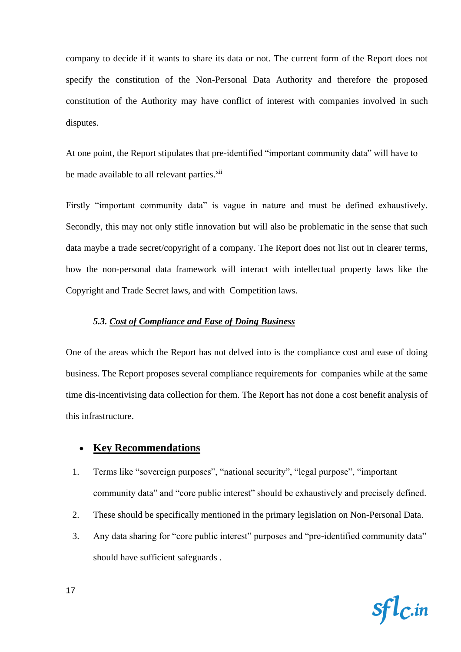company to decide if it wants to share its data or not. The current form of the Report does not specify the constitution of the Non-Personal Data Authority and therefore the proposed constitution of the Authority may have conflict of interest with companies involved in such disputes.

At one point, the Report stipulates that pre-identified "important community data" will have to be made available to all relevant parties.<sup>xii</sup>

Firstly "important community data" is vague in nature and must be defined exhaustively. Secondly, this may not only stifle innovation but will also be problematic in the sense that such data maybe a trade secret/copyright of a company. The Report does not list out in clearer terms, how the non-personal data framework will interact with intellectual property laws like the Copyright and Trade Secret laws, and with Competition laws.

#### *5.3. Cost of Compliance and Ease of Doing Business*

One of the areas which the Report has not delved into is the compliance cost and ease of doing business. The Report proposes several compliance requirements for companies while at the same time dis-incentivising data collection for them. The Report has not done a cost benefit analysis of this infrastructure.

#### • **Key Recommendations**

- 1. Terms like "sovereign purposes", "national security", "legal purpose", "important community data" and "core public interest" should be exhaustively and precisely defined.
- 2. These should be specifically mentioned in the primary legislation on Non-Personal Data.
- 3. Any data sharing for "core public interest" purposes and "pre-identified community data" should have sufficient safeguards .

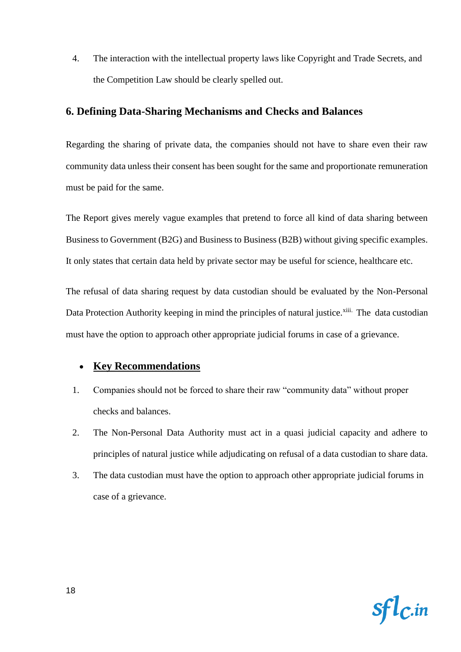4. The interaction with the intellectual property laws like Copyright and Trade Secrets, and the Competition Law should be clearly spelled out.

# **6. Defining Data-Sharing Mechanisms and Checks and Balances**

Regarding the sharing of private data, the companies should not have to share even their raw community data unless their consent has been sought for the same and proportionate remuneration must be paid for the same.

The Report gives merely vague examples that pretend to force all kind of data sharing between Business to Government (B2G) and Business to Business (B2B) without giving specific examples. It only states that certain data held by private sector may be useful for science, healthcare etc.

The refusal of data sharing request by data custodian should be evaluated by the Non-Personal Data Protection Authority keeping in mind the principles of natural justice.<sup>xiii.</sup> The data custodian must have the option to approach other appropriate judicial forums in case of a grievance.

# • **Key Recommendations**

- 1. Companies should not be forced to share their raw "community data" without proper checks and balances.
- 2. The Non-Personal Data Authority must act in a quasi judicial capacity and adhere to principles of natural justice while adjudicating on refusal of a data custodian to share data.
- 3. The data custodian must have the option to approach other appropriate judicial forums in case of a grievance.

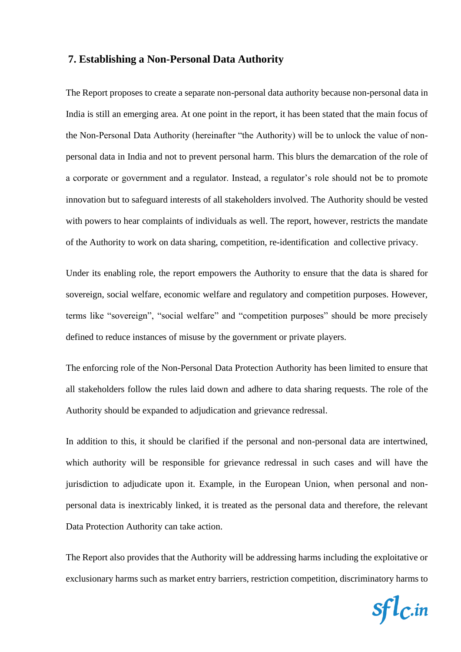#### **7. Establishing a Non-Personal Data Authority**

The Report proposes to create a separate non-personal data authority because non-personal data in India is still an emerging area. At one point in the report, it has been stated that the main focus of the Non-Personal Data Authority (hereinafter "the Authority) will be to unlock the value of nonpersonal data in India and not to prevent personal harm. This blurs the demarcation of the role of a corporate or government and a regulator. Instead, a regulator's role should not be to promote innovation but to safeguard interests of all stakeholders involved. The Authority should be vested with powers to hear complaints of individuals as well. The report, however, restricts the mandate of the Authority to work on data sharing, competition, re-identification and collective privacy.

Under its enabling role, the report empowers the Authority to ensure that the data is shared for sovereign, social welfare, economic welfare and regulatory and competition purposes. However, terms like "sovereign", "social welfare" and "competition purposes" should be more precisely defined to reduce instances of misuse by the government or private players.

The enforcing role of the Non-Personal Data Protection Authority has been limited to ensure that all stakeholders follow the rules laid down and adhere to data sharing requests. The role of the Authority should be expanded to adjudication and grievance redressal.

In addition to this, it should be clarified if the personal and non-personal data are intertwined, which authority will be responsible for grievance redressal in such cases and will have the jurisdiction to adjudicate upon it. Example, in the European Union, when personal and nonpersonal data is inextricably linked, it is treated as the personal data and therefore, the relevant Data Protection Authority can take action.

The Report also provides that the Authority will be addressing harms including the exploitative or exclusionary harms such as market entry barriers, restriction competition, discriminatory harms to

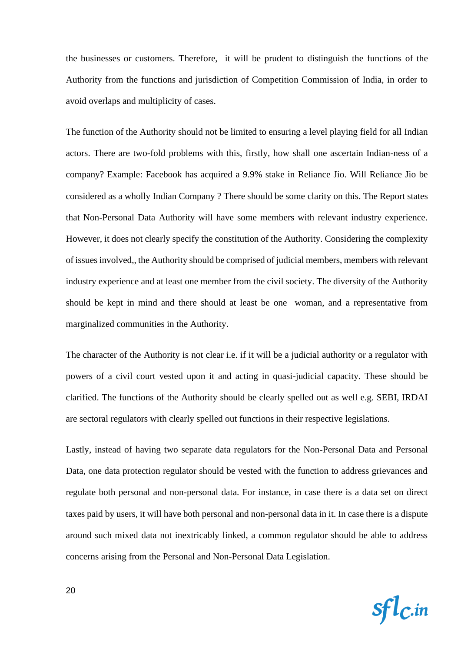the businesses or customers. Therefore, it will be prudent to distinguish the functions of the Authority from the functions and jurisdiction of Competition Commission of India, in order to avoid overlaps and multiplicity of cases.

The function of the Authority should not be limited to ensuring a level playing field for all Indian actors. There are two-fold problems with this, firstly, how shall one ascertain Indian-ness of a company? Example: Facebook has acquired a 9.9% stake in Reliance Jio. Will Reliance Jio be considered as a wholly Indian Company ? There should be some clarity on this. The Report states that Non-Personal Data Authority will have some members with relevant industry experience. However, it does not clearly specify the constitution of the Authority. Considering the complexity of issues involved,, the Authority should be comprised of judicial members, members with relevant industry experience and at least one member from the civil society. The diversity of the Authority should be kept in mind and there should at least be one woman, and a representative from marginalized communities in the Authority.

The character of the Authority is not clear i.e. if it will be a judicial authority or a regulator with powers of a civil court vested upon it and acting in quasi-judicial capacity. These should be clarified. The functions of the Authority should be clearly spelled out as well e.g. SEBI, IRDAI are sectoral regulators with clearly spelled out functions in their respective legislations.

Lastly, instead of having two separate data regulators for the Non-Personal Data and Personal Data, one data protection regulator should be vested with the function to address grievances and regulate both personal and non-personal data. For instance, in case there is a data set on direct taxes paid by users, it will have both personal and non-personal data in it. In case there is a dispute around such mixed data not inextricably linked, a common regulator should be able to address concerns arising from the Personal and Non-Personal Data Legislation.

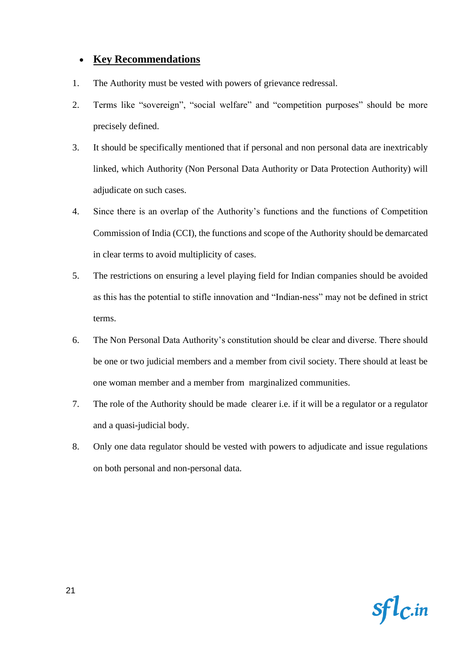# • **Key Recommendations**

- 1. The Authority must be vested with powers of grievance redressal.
- 2. Terms like "sovereign", "social welfare" and "competition purposes" should be more precisely defined.
- 3. It should be specifically mentioned that if personal and non personal data are inextricably linked, which Authority (Non Personal Data Authority or Data Protection Authority) will adjudicate on such cases.
- 4. Since there is an overlap of the Authority's functions and the functions of Competition Commission of India (CCI), the functions and scope of the Authority should be demarcated in clear terms to avoid multiplicity of cases.
- 5. The restrictions on ensuring a level playing field for Indian companies should be avoided as this has the potential to stifle innovation and "Indian-ness" may not be defined in strict terms.
- 6. The Non Personal Data Authority's constitution should be clear and diverse. There should be one or two judicial members and a member from civil society. There should at least be one woman member and a member from marginalized communities.
- 7. The role of the Authority should be made clearer i.e. if it will be a regulator or a regulator and a quasi-judicial body.
- 8. Only one data regulator should be vested with powers to adjudicate and issue regulations on both personal and non-personal data.

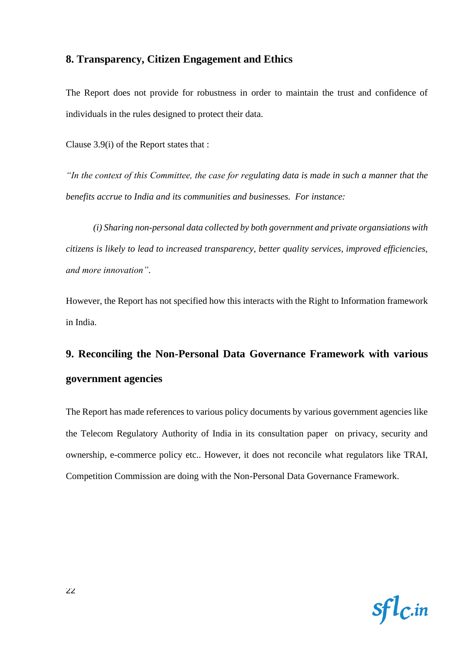# **8. Transparency, Citizen Engagement and Ethics**

The Report does not provide for robustness in order to maintain the trust and confidence of individuals in the rules designed to protect their data.

Clause 3.9(i) of the Report states that :

*"In the context of this Committee, the case for regulating data is made in such a manner that the benefits accrue to India and its communities and businesses. For instance:*

*(i) Sharing non-personal data collected by both government and private organsiations with citizens is likely to lead to increased transparency, better quality services, improved efficiencies, and more innovation"*.

However, the Report has not specified how this interacts with the Right to Information framework in India.

# **9. Reconciling the Non-Personal Data Governance Framework with various government agencies**

The Report has made references to various policy documents by various government agencies like the Telecom Regulatory Authority of India in its consultation paper on privacy, security and ownership, e-commerce policy etc.. However, it does not reconcile what regulators like TRAI, Competition Commission are doing with the Non-Personal Data Governance Framework.